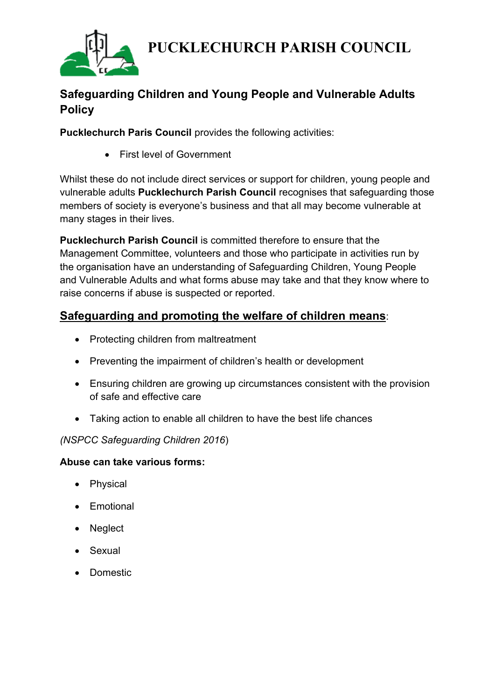

# **Safeguarding Children and Young People and Vulnerable Adults Policy**

**Pucklechurch Paris Council** provides the following activities:

• First level of Government

Whilst these do not include direct services or support for children, young people and vulnerable adults **Pucklechurch Parish Council** recognises that safeguarding those members of society is everyone's business and that all may become vulnerable at many stages in their lives.

**Pucklechurch Parish Council** is committed therefore to ensure that the Management Committee, volunteers and those who participate in activities run by the organisation have an understanding of Safeguarding Children, Young People and Vulnerable Adults and what forms abuse may take and that they know where to raise concerns if abuse is suspected or reported.

## **Safeguarding and promoting the welfare of children means**:

- Protecting children from maltreatment
- Preventing the impairment of children's health or development
- Ensuring children are growing up circumstances consistent with the provision of safe and effective care
- Taking action to enable all children to have the best life chances

#### *(NSPCC Safeguarding Children 2016*)

#### **Abuse can take various forms:**

- Physical
- Emotional
- Neglect
- Sexual
- Domestic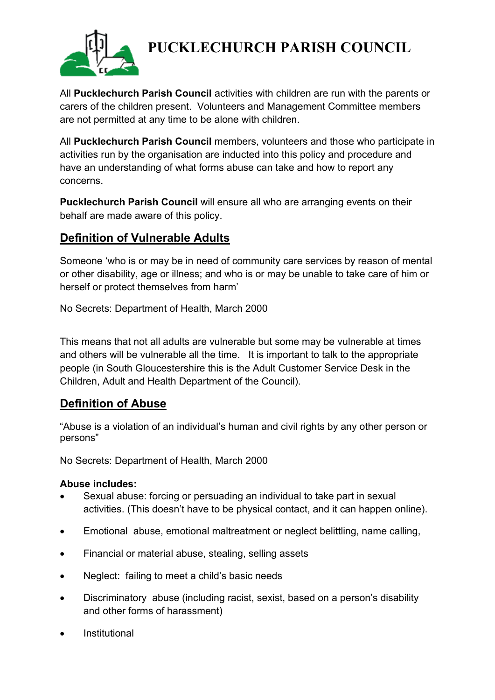

All **Pucklechurch Parish Council** activities with children are run with the parents or carers of the children present. Volunteers and Management Committee members are not permitted at any time to be alone with children.

All **Pucklechurch Parish Council** members, volunteers and those who participate in activities run by the organisation are inducted into this policy and procedure and have an understanding of what forms abuse can take and how to report any concerns.

**Pucklechurch Parish Council** will ensure all who are arranging events on their behalf are made aware of this policy.

## **Definition of Vulnerable Adults**

Someone 'who is or may be in need of community care services by reason of mental or other disability, age or illness; and who is or may be unable to take care of him or herself or protect themselves from harm'

No Secrets: Department of Health, March 2000

This means that not all adults are vulnerable but some may be vulnerable at times and others will be vulnerable all the time. It is important to talk to the appropriate people (in South Gloucestershire this is the Adult Customer Service Desk in the Children, Adult and Health Department of the Council).

### **Definition of Abuse**

"Abuse is a violation of an individual's human and civil rights by any other person or persons"

No Secrets: Department of Health, March 2000

#### **Abuse includes:**

- Sexual abuse: forcing or persuading an individual to take part in sexual activities. (This doesn't have to be physical contact, and it can happen online).
- Emotional abuse, emotional maltreatment or neglect belittling, name calling,
- Financial or material abuse, stealing, selling assets
- Neglect: failing to meet a child's basic needs
- Discriminatory abuse (including racist, sexist, based on a person's disability and other forms of harassment)
- **Institutional**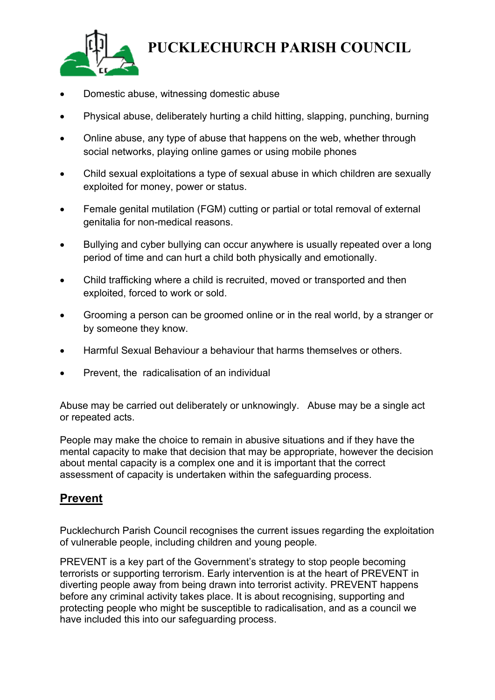

- Domestic abuse, witnessing domestic abuse
- Physical abuse, deliberately hurting a child hitting, slapping, punching, burning
- Online abuse, any type of abuse that happens on the web, whether through social networks, playing online games or using mobile phones
- Child sexual exploitations a type of sexual abuse in which children are sexually exploited for money, power or status.
- Female genital mutilation (FGM) cutting or partial or total removal of external genitalia for non-medical reasons.
- Bullying and cyber bullying can occur anywhere is usually repeated over a long period of time and can hurt a child both physically and emotionally.
- Child trafficking where a child is recruited, moved or transported and then exploited, forced to work or sold.
- Grooming a person can be groomed online or in the real world, by a stranger or by someone they know.
- Harmful Sexual Behaviour a behaviour that harms themselves or others.
- Prevent, the radicalisation of an individual

Abuse may be carried out deliberately or unknowingly. Abuse may be a single act or repeated acts.

People may make the choice to remain in abusive situations and if they have the mental capacity to make that decision that may be appropriate, however the decision about mental capacity is a complex one and it is important that the correct assessment of capacity is undertaken within the safeguarding process.

### **Prevent**

Pucklechurch Parish Council recognises the current issues regarding the exploitation of vulnerable people, including children and young people.

PREVENT is a key part of the Government's strategy to stop people becoming terrorists or supporting terrorism. Early intervention is at the heart of PREVENT in diverting people away from being drawn into terrorist activity. PREVENT happens before any criminal activity takes place. It is about recognising, supporting and protecting people who might be susceptible to radicalisation, and as a council we have included this into our safeguarding process.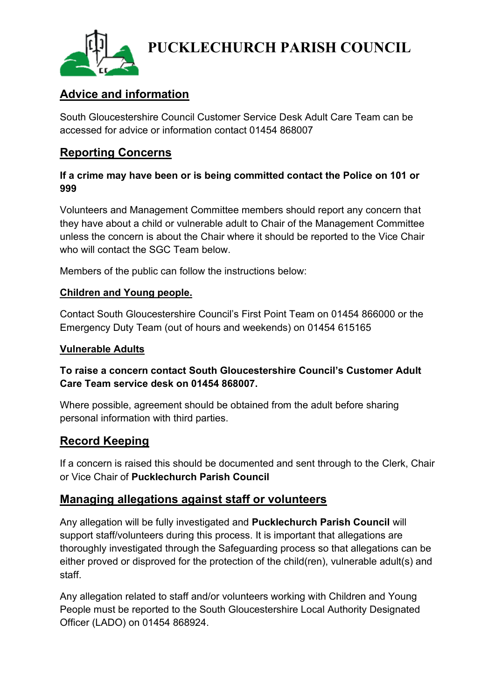

## **Advice and information**

South Gloucestershire Council Customer Service Desk Adult Care Team can be accessed for advice or information contact 01454 868007

## **Reporting Concerns**

### **If a crime may have been or is being committed contact the Police on 101 or 999**

Volunteers and Management Committee members should report any concern that they have about a child or vulnerable adult to Chair of the Management Committee unless the concern is about the Chair where it should be reported to the Vice Chair who will contact the SGC Team below.

Members of the public can follow the instructions below:

### **Children and Young people.**

Contact South Gloucestershire Council's First Point Team on 01454 866000 or the Emergency Duty Team (out of hours and weekends) on 01454 615165

### **Vulnerable Adults**

### **To raise a concern contact South Gloucestershire Council's Customer Adult Care Team service desk on 01454 868007.**

Where possible, agreement should be obtained from the adult before sharing personal information with third parties.

### **Record Keeping**

If a concern is raised this should be documented and sent through to the Clerk, Chair or Vice Chair of **Pucklechurch Parish Council**

### **Managing allegations against staff or volunteers**

Any allegation will be fully investigated and **Pucklechurch Parish Council** will support staff/volunteers during this process. It is important that allegations are thoroughly investigated through the Safeguarding process so that allegations can be either proved or disproved for the protection of the child(ren), vulnerable adult(s) and staff.

Any allegation related to staff and/or volunteers working with Children and Young People must be reported to the South Gloucestershire Local Authority Designated Officer (LADO) on 01454 868924.